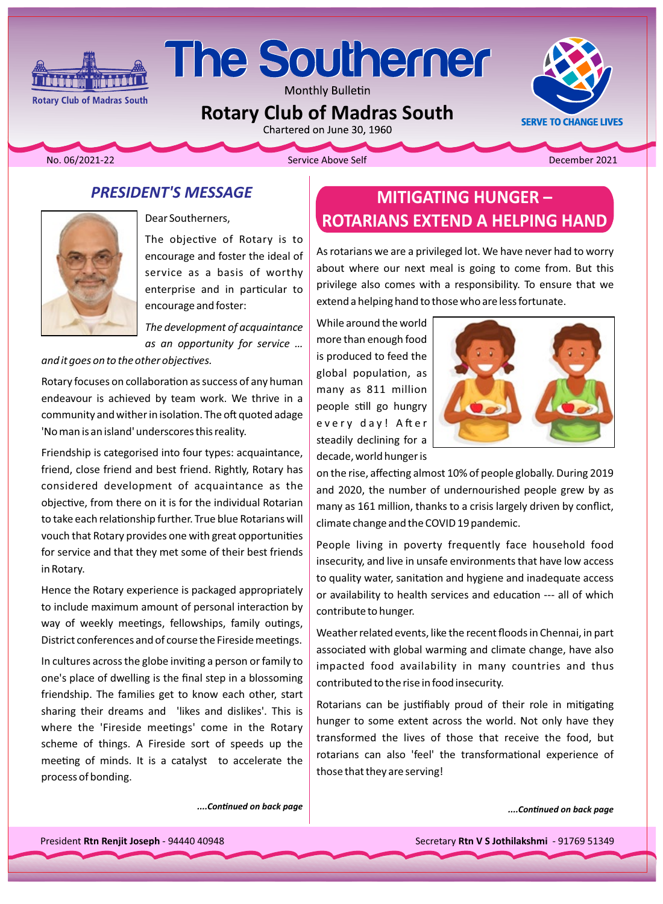

Monthly Bulletin

**Rotary Club of Madras South** 

**Rotary Club of Madras South** 

**Maria** Artist

2021-22 . Contract Above Self Above Self Above Self Above Self Above Self Above Self Above Self Above Self Above Self Above Self Above Self Above Self Above Self Above Self Above Self Above Self Above Self Above Self Above

**SERVE TO CHANGE LIVES** 

## **PRESIDENT'S MESSAGE**



The objective of Rotary is to encourage and foster the ideal of service as a basis of worthy enterprise and in particular to encourage and foster:

*The development of acquaintance* as an opportunity for service ...

and it goes on to the other objectives.

Rotary focuses on collaboration as success of any human endeavour is achieved by team work. We thrive in a community and wither in isolation. The oft quoted adage 'No man is an island' underscores this reality.

Friendship is categorised into four types: acquaintance, friend, close friend and best friend. Rightly, Rotary has considered development of acquaintance as the objective, from there on it is for the individual Rotarian to take each relationship further. True blue Rotarians will vouch that Rotary provides one with great opportunities for service and that they met some of their best friends in Rotary.

Hence the Rotary experience is packaged appropriately to include maximum amount of personal interaction by way of weekly meetings, fellowships, family outings, District conferences and of course the Fireside meetings.

In cultures across the globe inviting a person or family to one's place of dwelling is the final step in a blossoming friendship. The families get to know each other, start sharing their dreams and likes and dislikes'. This is where the 'Fireside meetings' come in the Rotary scheme of things. A Fireside sort of speeds up the meeting of minds. It is a catalyst to accelerate the process of bonding.

**MITIGATING HUNGER -**Dear Southerners, **Hand ROTARIANS EXTEND A HELPING HAND** 

> As rotarians we are a privileged lot. We have never had to worry about where our next meal is going to come from. But this privilege also comes with a responsibility. To ensure that we extend a helping hand to those who are less fortunate.

While around the world more than enough food is produced to feed the global population, as many as 811 million people still go hungry every day! After steadily declining for a decade, world hunger is



on the rise, affecting almost 10% of people globally. During 2019 and 2020, the number of undernourished people grew by as many as 161 million, thanks to a crisis largely driven by conflict, climate change and the COVID 19 pandemic.

People living in poverty frequently face household food insecurity, and live in unsafe environments that have low access to quality water, sanitation and hygiene and inadequate access or availability to health services and education --- all of which contribute to hunger.

Weather related events, like the recent floods in Chennai, in part associated with global warming and climate change, have also impacted food availability in many countries and thus contributed to the rise in food insecurity.

Rotarians can be justifiably proud of their role in mitigating hunger to some extent across the world. Not only have they transformed the lives of those that receive the food, but rotarians can also 'feel' the transformational experience of those that they are serving!

*particle in Continued on back page*  $\begin{bmatrix} a & b \\ c & d \end{bmatrix}$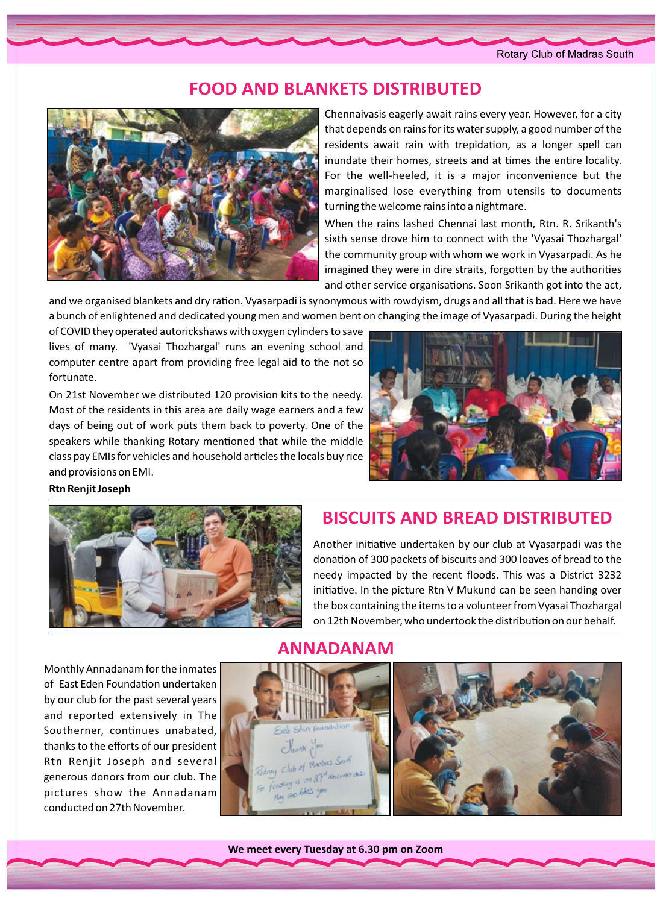#### Rotary Club of Madras South

## **FOOD AND BLANKETS DISTRIBUTED**



Chennaivasis eagerly await rains every year. However, for a city that depends on rains for its water supply, a good number of the residents await rain with trepidation, as a longer spell can inundate their homes, streets and at times the entire locality. For the well-heeled, it is a major inconvenience but the marginalised lose everything from utensils to documents turning the welcome rains into a nightmare.

When the rains lashed Chennai last month, Rtn. R. Srikanth's sixth sense drove him to connect with the 'Vyasai Thozhargal' the community group with whom we work in Vyasarpadi. As he imagined they were in dire straits, forgotten by the authorities and other service organisations. Soon Srikanth got into the act,

and we organised blankets and dry ration. Vyasarpadi is synonymous with rowdyism, drugs and all that is bad. Here we have a bunch of enlightened and dedicated young men and women bent on changing the image of Vyasarpadi. During the height

of COVID they operated autorickshaws with oxygen cylinders to save lives of many. 'Vyasai Thozhargal' runs an evening school and computer centre apart from providing free legal aid to the not so fortunate.

On 21st November we distributed 120 provision kits to the needy. Most of the residents in this area are daily wage earners and a few days of being out of work puts them back to poverty. One of the speakers while thanking Rotary mentioned that while the middle class pay EMIs for vehicles and household articles the locals buy rice and provisions on EMI.



#### **Rtn Renjit Joseph**



## **BISCUITS AND BREAD DISTRIBUTED**

Another initiative undertaken by our club at Vyasarpadi was the donation of 300 packets of biscuits and 300 loaves of bread to the needy impacted by the recent floods. This was a District 3232 initiative. In the picture Rtn V Mukund can be seen handing over the box containing the items to a volunteer from Vyasai Thozhargal on 12th November, who undertook the distribution on our behalf.

Monthly Annadanam for the inmates of East Eden Foundation undertaken by our club for the past several years and reported extensively in The Southerner, continues unabated, thanks to the efforts of our president Rtn Renjit Joseph and several generous donors from our club. The pictures show the Annadanam conducted on 27th November.

## **ANNADANAM**





**We meet every Tuesday at 6.30 pm on Zoom**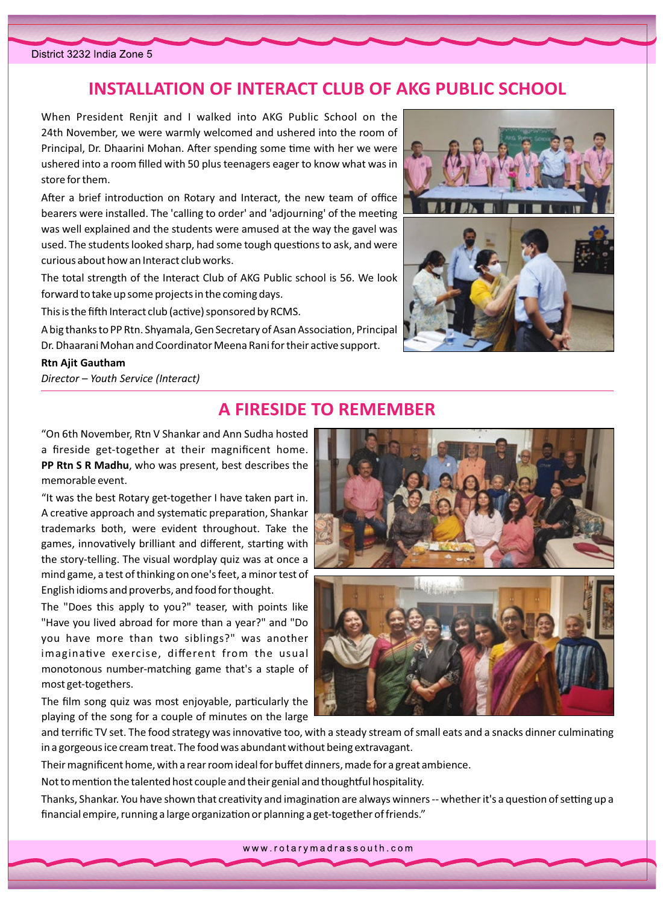# **INSTALLATION OF INTERACT CLUB OF AKG PUBLIC SCHOOL**

When President Renjit and I walked into AKG Public School on the 24th November, we were warmly welcomed and ushered into the room of Principal, Dr. Dhaarini Mohan. After spending some time with her we were ushered into a room filled with 50 plus teenagers eager to know what was in store for them.

After a brief introduction on Rotary and Interact, the new team of office bearers were installed. The 'calling to order' and 'adjourning' of the meeting was well explained and the students were amused at the way the gavel was used. The students looked sharp, had some tough questions to ask, and were curious about how an Interact club works.

The total strength of the Interact Club of AKG Public school is 56. We look forward to take up some projects in the coming days.

This is the fifth Interact club (active) sponsored by RCMS.

A big thanks to PP Rtn. Shyamala, Gen Secretary of Asan Association, Principal Dr. Dhaarani Mohan and Coordinator Meena Rani for their active support.

#### **Rtn Ajit Gautham**

*Director – Youth Service (Interact)* 



# **A FIRESIDE TO REMEMBER**

"On 6th November, Rtn V Shankar and Ann Sudha hosted a fireside get-together at their magnificent home. PP Rtn S R Madhu, who was present, best describes the memorable event.

"It was the best Rotary get-together I have taken part in. A creative approach and systematic preparation, Shankar trademarks both, were evident throughout. Take the games, innovatively brilliant and different, starting with the story-telling. The visual wordplay quiz was at once a mind game, a test of thinking on one's feet, a minor test of English idioms and proverbs, and food for thought.

The "Does this apply to you?" teaser, with points like "Have you lived abroad for more than a year?" and "Do you have more than two siblings?" was another imaginative exercise, different from the usual monotonous number-matching game that's a staple of most get-togethers.

The film song quiz was most enjoyable, particularly the playing of the song for a couple of minutes on the large





and terrific TV set. The food strategy was innovative too, with a steady stream of small eats and a snacks dinner culminating in a gorgeous ice cream treat. The food was abundant without being extravagant.

Their magnificent home, with a rear room ideal for buffet dinners, made for a great ambience.

Not to mention the talented host couple and their genial and thoughtful hospitality.

Thanks, Shankar. You have shown that creativity and imagination are always winners -- whether it's a question of setting up a financial empire, running a large organization or planning a get-together of friends."